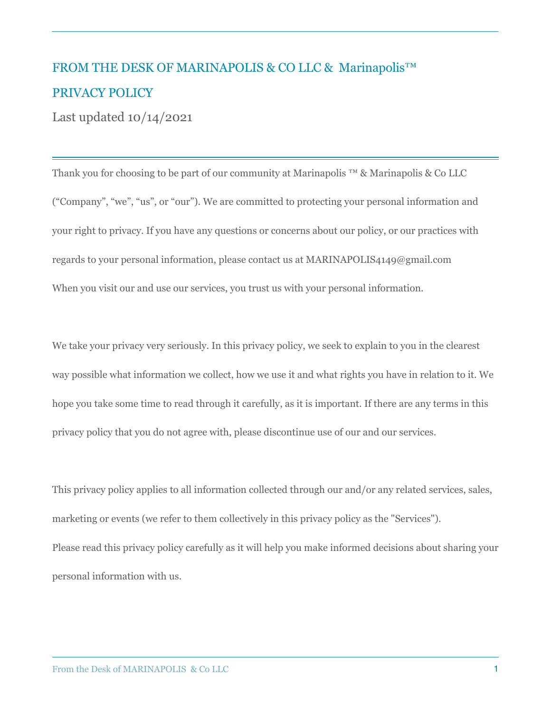## FROM THE DESK OF MARINAPOLIS & CO LLC & Marinapolis™ PRIVACY POLICY

Last updated 10/14/2021

Thank you for choosing to be part of our community at Marinapolis ™ & Marinapolis & Co LLC ("Company", "we", "us", or "our"). We are committed to protecting your personal information and your right to privacy. If you have any questions or concerns about our policy, or our practices with regards to your personal information, please contact us at MARINAPOLIS4149@gmail.com When you visit our and use our services, you trust us with your personal information.

We take your privacy very seriously. In this privacy policy, we seek to explain to you in the clearest way possible what information we collect, how we use it and what rights you have in relation to it. We hope you take some time to read through it carefully, as it is important. If there are any terms in this privacy policy that you do not agree with, please discontinue use of our and our services.

This privacy policy applies to all information collected through our and/or any related services, sales, marketing or events (we refer to them collectively in this privacy policy as the "Services"). Please read this privacy policy carefully as it will help you make informed decisions about sharing your personal information with us.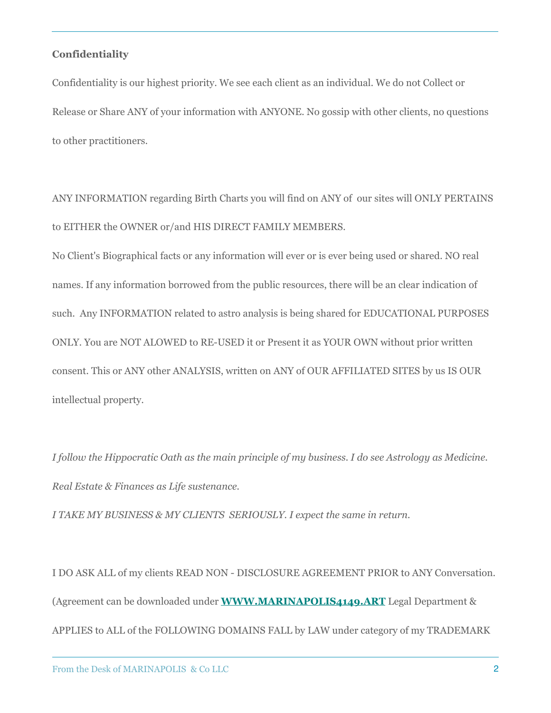## **Confidentiality**

Confidentiality is our highest priority. We see each client as an individual. We do not Collect or Release or Share ANY of your information with ANYONE. No gossip with other clients, no questions to other practitioners.

ANY INFORMATION regarding Birth Charts you will find on ANY of our sites will ONLY PERTAINS to EITHER the OWNER or/and HIS DIRECT FAMILY MEMBERS.

No Client's Biographical facts or any information will ever or is ever being used or shared. NO real names. If any information borrowed from the public resources, there will be an clear indication of such. Any INFORMATION related to astro analysis is being shared for EDUCATIONAL PURPOSES ONLY. You are NOT ALOWED to RE-USED it or Present it as YOUR OWN without prior written consent. This or ANY other ANALYSIS, written on ANY of OUR AFFILIATED SITES by us IS OUR intellectual property.

*I follow the Hippocratic Oath as the main principle of my business. I do see Astrology as Medicine. Real Estate & Finances as Life sustenance.* 

*I TAKE MY BUSINESS & MY CLIENTS SERIOUSLY. I expect the same in return.* 

I DO ASK ALL of my clients READ NON - DISCLOSURE AGREEMENT PRIOR to ANY Conversation. (Agreement can be downloaded under **[WWW.MARINAPOLIS4149.ART](http://www.marinapolis4149.art/)** Legal Department & APPLIES to ALL of the FOLLOWING DOMAINS FALL by LAW under category of my TRADEMARK